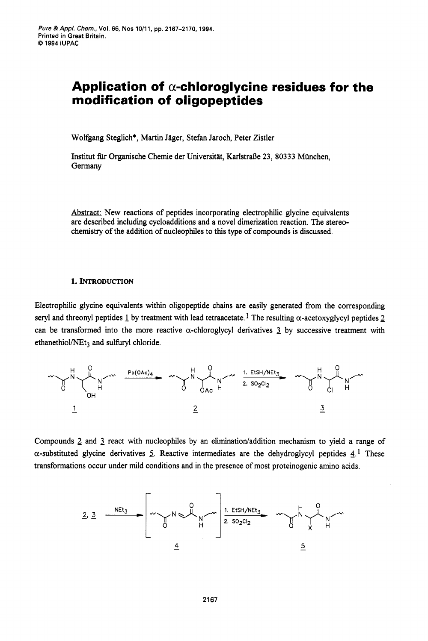# Application of  $\alpha$ -chloroglycine residues for the **modification of oligopeptides**

Wolfgang Steglich\*, Martin Jäger, Stefan Jaroch, Peter Zistler

Institut fir Organische Chemie der Universitat, Karlstral3e **23, 80333** Miinchen, Germany

Abstract: New reactions of peptides incorporating electrophilic glycine equivalents are described including cycloadditions and a novel dimerization reaction. The stereochemistry of the addition of nucleophiles to this type of compounds is discussed.

# **1. INTRODUCTION**

Electrophilic glycine equivalents within oligopeptide chains are easily generated from the corresponding seryl and threonyl peptides  $\perp$  by treatment with lead tetraacetate.<sup>1</sup> The resulting  $\alpha$ -acetoxyglycyl peptides 2 can be transformed into the more reactive  $\alpha$ -chloroglycyl derivatives  $\alpha$  by successive treatment with ethanethiol/ $NEt_3$  and sulfuryl chloride.



Compounds 2 and 3 react with nucleophiles by an elimination/addition mechanism to yield a range of a-substituted glycine derivatives *5.* Reactive intermediates are the dehydroglycyl peptides 4.1 These transformations occur under mild conditions and in the presence of most proteinogenic amino acids.

$$
\frac{2}{2}
$$
 and  $\frac{3}{2}$  react with nucleophiles by an elimination/addition mechanism to yield  
glycine derivatives 5. Reactive intermediates are the dehydroglycyl peptides  
ns occur under mild conditions and in the presence of most proteinogenic amino a  
2. 3  $\frac{Net_3}{6}$   $\frac{1. EtSH/NEt_3}{2. SO_2Cl_2}$   $\frac{1}{2}$   $\frac{1. EtSH/NEt_3}{2}$   $\frac{1}{2}$   $\frac{1}{2}$   $\frac{1}{2}$   $\frac{1}{2}$   $\frac{1}{2}$   $\frac{1}{2}$   $\frac{1}{2}$   $\frac{1}{2}$   $\frac{1}{2}$   $\frac{1}{2}$   $\frac{1}{2}$   $\frac{1}{2}$   $\frac{1}{2}$   $\frac{1}{2}$   $\frac{1}{2}$   $\frac{1}{2}$   $\frac{1}{2}$   $\frac{1}{2}$   $\frac{1}{2}$   $\frac{1}{2}$   $\frac{1}{2}$   $\frac{1}{2}$   $\frac{1}{2}$   $\frac{1}{2}$   $\frac{1}{2}$   $\frac{1}{2}$   $\frac{1}{2}$   $\frac{1}{2}$   $\frac{1}{2}$   $\frac{1}{2}$   $\frac{1}{2}$   $\frac{1}{2}$   $\frac{1}{2}$   $\frac{1}{2}$   $\frac{1}{2}$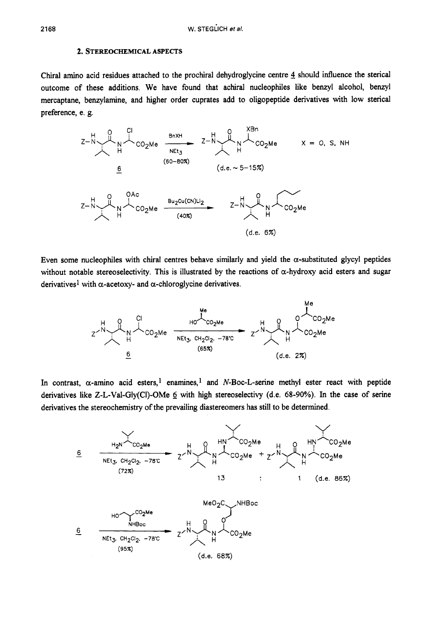### **2. STEREOCHEMICAL ASPECTS**

Chiral amino acid residues attached to the prochiral dehydroglycine centre **4** should influence the sterical outcome of these additions. We have found that achiral nucleophiles like benzyl alcohol, benzyl mercaptane, benzylamine, and higher order cuprates add to oligopeptide derivatives with low sterical preference, e. *g.* 



Even some nucleophiles with chiral centres behave similarly and yield the  $\alpha$ -substituted glycyl peptides without notable stereoselectivity. This is illustrated by the reactions of  $\alpha$ -hydroxy acid esters and sugar derivatives<sup>1</sup> with  $\alpha$ -acetoxy- and  $\alpha$ -chloroglycine derivatives.



In contrast,  $\alpha$ -amino acid esters,<sup>1</sup> enamines,<sup>1</sup> and N-Boc-L-serine methyl ester react with peptide derivatives like Z-L-Val-Gly(Cl)-OMe 6 with high stereoselectivy (d.e. 68-90%). In the case of serine derivatives the stereochemistry of the prevailing diastereomers has still to be determined.

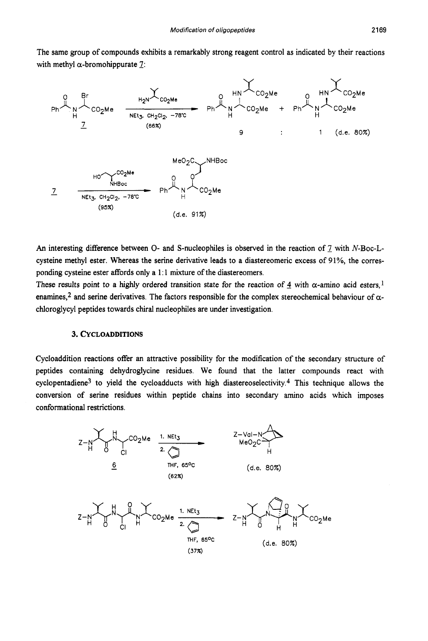The same group of compounds exhibits a remarkably strong reagent control as indicated by their reactions with methyl  $\alpha$ -bromohippurate 7:



An interesting difference between O- and S-nucleophiles is observed in the reaction of 7 with N-Boc-Lcysteine methyl ester. Whereas the serine derivative leads to a diastereomeric excess of 91%, the corresponding cysteine ester affords only a 1:1 mixture of the diastereomers.

These results point to a highly ordered transition state for the reaction of  $\frac{4}{3}$  with  $\alpha$ -amino acid esters,<sup>1</sup> enamines,<sup>2</sup> and serine derivatives. The factors responsible for the complex stereochemical behaviour of  $\alpha$ chloroglycyl peptides towards chiral nucleophiles are under investigation.

# **3. CYCLOADDITIONS**

Cycloaddition reactions offer an attractive possibility for the modification of the secondary structure of peptides containing dehydroglycine residues. We found that the latter compounds react with cyclopentadiene<sup>3</sup> to yield the cycloadducts with high diastereoselectivity.<sup>4</sup> This technique allows the conversion of serine residues within peptide chains into secondary amino acids which imposes conformational restrictions.